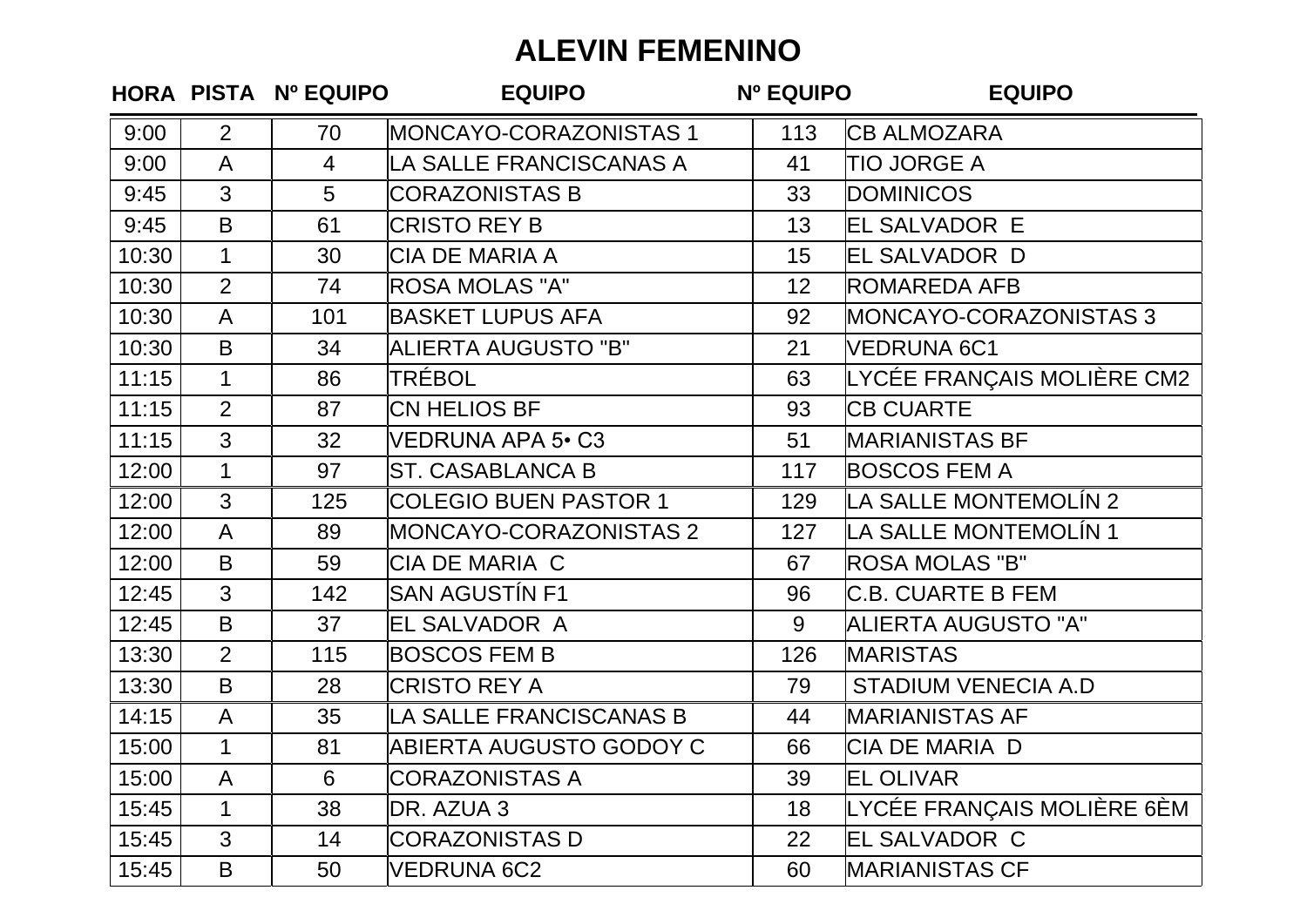## **ALEVIN FEMENINO**

|       |                | HORA PISTA Nº EQUIPO | <b>EQUIPO</b>                | <b>Nº EQUIPO</b> | <b>EQUIPO</b>              |
|-------|----------------|----------------------|------------------------------|------------------|----------------------------|
| 9:00  | $\overline{2}$ | 70                   | MONCAYO-CORAZONISTAS 1       | 113              | <b>CB ALMOZARA</b>         |
| 9:00  | $\mathsf{A}$   | $\overline{4}$       | LA SALLE FRANCISCANAS A      | 41               | <b>TIO JORGE A</b>         |
| 9:45  | 3              | 5                    | <b>CORAZONISTAS B</b>        | 33               | <b>DOMINICOS</b>           |
| 9:45  | B              | 61                   | <b>CRISTO REY B</b>          | 13               | <b>EL SALVADOR E</b>       |
| 10:30 | $\mathbf{1}$   | 30                   | CIA DE MARIA A               | 15               | EL SALVADOR D              |
| 10:30 | $\overline{2}$ | 74                   | <b>ROSA MOLAS "A"</b>        | 12               | <b>ROMAREDA AFB</b>        |
| 10:30 | $\mathsf{A}$   | 101                  | <b>BASKET LUPUS AFA</b>      | 92               | MONCAYO-CORAZONISTAS 3     |
| 10:30 | $\mathsf B$    | 34                   | <b>ALIERTA AUGUSTO "B"</b>   | 21               | VEDRUNA 6C1                |
| 11:15 | $\mathbf{1}$   | 86                   | TRÉBOL                       | 63               | LYCÉE FRANÇAIS MOLIÈRE CM2 |
| 11:15 | $\overline{2}$ | 87                   | CN HELIOS BF                 | 93               | <b>CB CUARTE</b>           |
| 11:15 | 3              | 32                   | <b>VEDRUNA APA 5 · C3</b>    | 51               | <b>MARIANISTAS BF</b>      |
| 12:00 | $\mathbf{1}$   | 97                   | <b>ST. CASABLANCA B</b>      | 117              | <b>BOSCOS FEM A</b>        |
| 12:00 | 3              | 125                  | <b>COLEGIO BUEN PASTOR 1</b> | 129              | LA SALLE MONTEMOLÍN 2      |
| 12:00 | $\mathsf{A}$   | 89                   | MONCAYO-CORAZONISTAS 2       | 127              | LA SALLE MONTEMOLÍN 1      |
| 12:00 | B              | 59                   | <b>CIA DE MARIA C</b>        | 67               | <b>ROSA MOLAS "B"</b>      |
| 12:45 | 3              | 142                  | <b>SAN AGUSTÍN F1</b>        | 96               | <b>C.B. CUARTE B FEM</b>   |
| 12:45 | B              | 37                   | EL SALVADOR A                | 9                | <b>ALIERTA AUGUSTO "A"</b> |
| 13:30 | $\overline{2}$ | 115                  | <b>BOSCOS FEM B</b>          | 126              | <b>MARISTAS</b>            |
| 13:30 | B              | 28                   | <b>CRISTO REY A</b>          | 79               | <b>STADIUM VENECIA A.D</b> |
| 14:15 | A              | 35                   | LA SALLE FRANCISCANAS B      | 44               | <b>MARIANISTAS AF</b>      |
| 15:00 | $\mathbf{1}$   | 81                   | ABIERTA AUGUSTO GODOY C      | 66               | <b>CIA DE MARIA D</b>      |
| 15:00 | A              | 6                    | <b>CORAZONISTAS A</b>        | 39               | <b>EL OLIVAR</b>           |
| 15:45 | $\mathbf 1$    | 38                   | DR. AZUA 3                   | 18               | LYCÉE FRANÇAIS MOLIÈRE 6ÈM |
| 15:45 | 3              | 14                   | <b>CORAZONISTAS D</b>        | 22               | EL SALVADOR C              |
| 15:45 | B              | 50                   | <b>VEDRUNA 6C2</b>           | 60               | <b>MARIANISTAS CF</b>      |